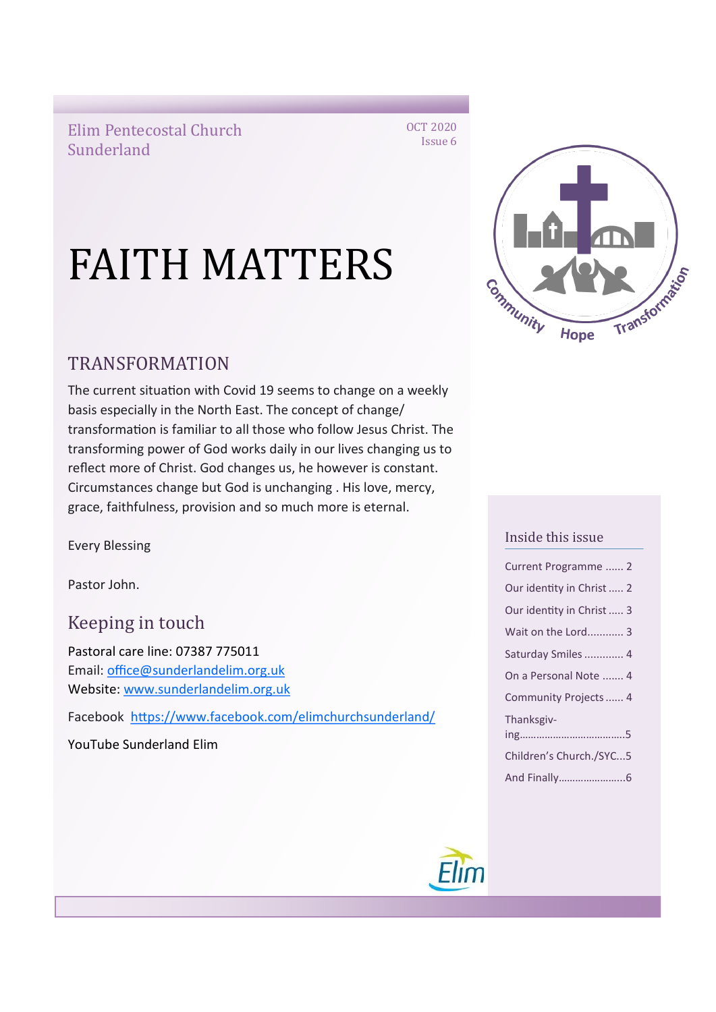Elim Pentecostal Church Sunderland

Transformazion Community

Hope

OCT 2020 Issue 6

# TRANSFORMATION

The current situation with Covid 19 seems to change on a weekly basis especially in the North East. The concept of change/ transformation is familiar to all those who follow Jesus Christ. The transforming power of God works daily in our lives changing us to reflect more of Christ. God changes us, he however is constant. Circumstances change but God is unchanging . His love, mercy, grace, faithfulness, provision and so much more is eternal.

FAITH MATTERS

Every Blessing

Pastor John.

Keeping in touch

Pastoral care line: 07387 775011 Email: [office@sunderlandelim.org.uk](about:blank) Website: [www.sunderlandelim.org.uk](http://www.sunderlandelim.org.uk)

Facebook [https://www.facebook.com/elimchurchsunderland/](about:blank)

YouTube Sunderland Elim

### Inside this issue

| Current Programme  2      |
|---------------------------|
| Our identity in Christ  2 |
| Our identity in Christ  3 |
| Wait on the Lord 3        |
| Saturday Smiles  4        |
| On a Personal Note  4     |
| Community Projects  4     |
| Thanksgiv-                |
| Children's Church./SYC5   |
|                           |

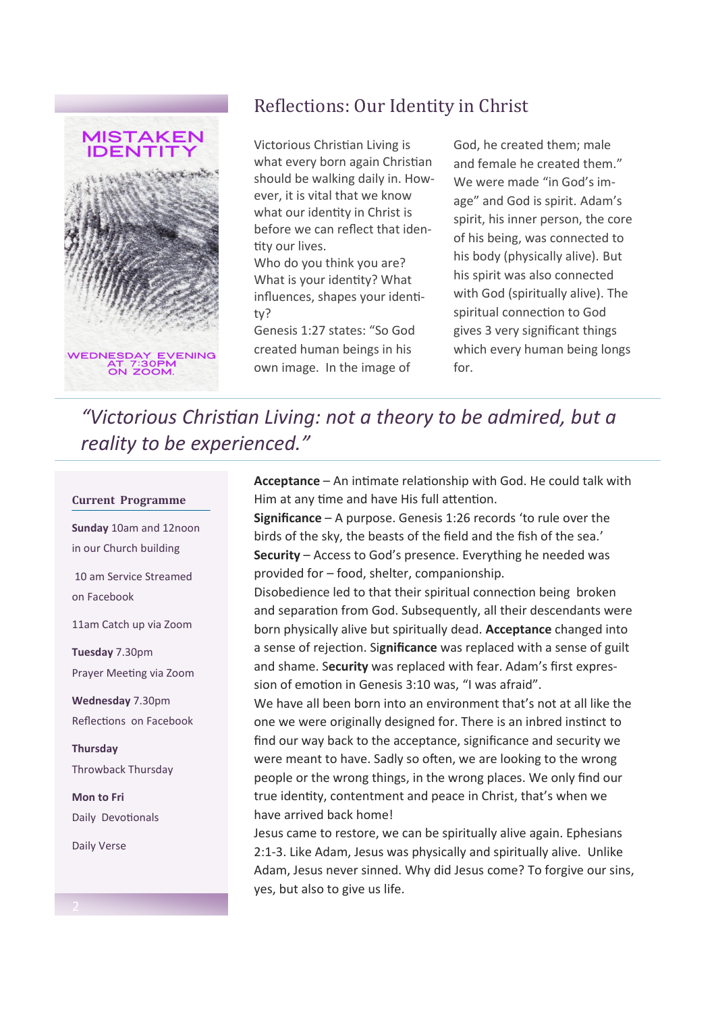

# Reflections: Our Identity in Christ

Victorious Christian Living is what every born again Christian should be walking daily in. However, it is vital that we know what our identity in Christ is before we can reflect that identity our lives.

Who do you think you are? What is your identity? What influences, shapes your identity?

Genesis 1:27 states: "So God created human beings in his own image. In the image of

God, he created them; male and female he created them." We were made "in God's image" and God is spirit. Adam's spirit, his inner person, the core of his being, was connected to his body (physically alive). But his spirit was also connected with God (spiritually alive). The spiritual connection to God gives 3 very significant things which every human being longs for.

*"Victorious Christian Living: not a theory to be admired, but a reality to be experienced."*

#### **Current Programme**

**Sunday** 10am and 12noon in our Church building 10 am Service Streamed on Facebook 11am Catch up via Zoom

**Tuesday** 7.30pm Prayer Meeting via Zoom

**Wednesday** 7.30pm Reflections on Facebook

**Thursday**  Throwback Thursday

**Mon to Fri**  Daily Devotionals

Daily Verse

**Acceptance** – An intimate relationship with God. He could talk with Him at any time and have His full attention.

**Significance** – A purpose. Genesis 1:26 records 'to rule over the birds of the sky, the beasts of the field and the fish of the sea.' **Security** – Access to God's presence. Everything he needed was provided for – food, shelter, companionship.

Disobedience led to that their spiritual connection being broken and separation from God. Subsequently, all their descendants were born physically alive but spiritually dead. **Acceptance** changed into a sense of rejection. Si**gnificance** was replaced with a sense of guilt and shame. S**ecurity** was replaced with fear. Adam's first expression of emotion in Genesis 3:10 was, "I was afraid".

We have all been born into an environment that's not at all like the one we were originally designed for. There is an inbred instinct to find our way back to the acceptance, significance and security we were meant to have. Sadly so often, we are looking to the wrong people or the wrong things, in the wrong places. We only find our true identity, contentment and peace in Christ, that's when we have arrived back home!

Jesus came to restore, we can be spiritually alive again. Ephesians 2:1-3. Like Adam, Jesus was physically and spiritually alive. Unlike Adam, Jesus never sinned. Why did Jesus come? To forgive our sins, yes, but also to give us life.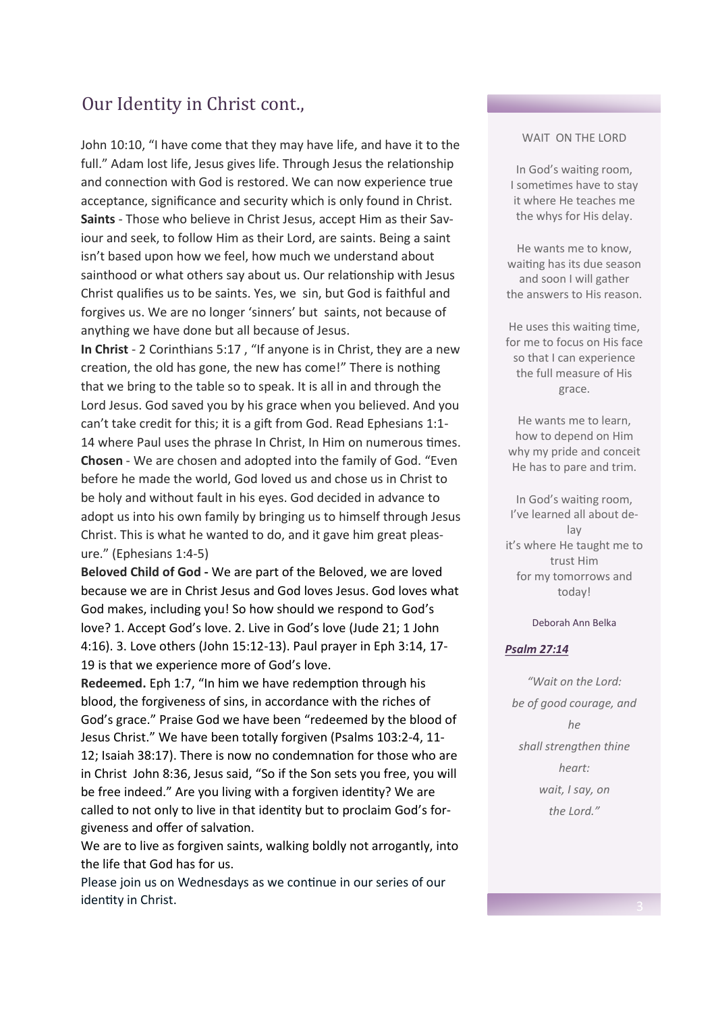## Our Identity in Christ cont.,

John 10:10, "I have come that they may have life, and have it to the full." Adam lost life, Jesus gives life. Through Jesus the relationship and connection with God is restored. We can now experience true acceptance, significance and security which is only found in Christ. **Saints** - Those who believe in Christ Jesus, accept Him as their Saviour and seek, to follow Him as their Lord, are saints. Being a saint isn't based upon how we feel, how much we understand about sainthood or what others say about us. Our relationship with Jesus Christ qualifies us to be saints. Yes, we sin, but God is faithful and forgives us. We are no longer 'sinners' but saints, not because of anything we have done but all because of Jesus.

**In Christ** - 2 Corinthians 5:17 , "If anyone is in Christ, they are a new creation, the old has gone, the new has come!" There is nothing that we bring to the table so to speak. It is all in and through the Lord Jesus. God saved you by his grace when you believed. And you can't take credit for this; it is a gift from God. Read Ephesians 1:1- 14 where Paul uses the phrase In Christ, In Him on numerous times. **Chosen** - We are chosen and adopted into the family of God. "Even before he made the world, God loved us and chose us in Christ to be holy and without fault in his eyes. God decided in advance to adopt us into his own family by bringing us to himself through Jesus Christ. This is what he wanted to do, and it gave him great pleasure." (Ephesians 1:4-5)

**Beloved Child of God -** We are part of the Beloved, we are loved because we are in Christ Jesus and God loves Jesus. God loves what God makes, including you! So how should we respond to God's love? 1. Accept God's love. 2. Live in God's love (Jude 21; 1 John 4:16). 3. Love others (John 15:12-13). Paul prayer in Eph 3:14, 17- 19 is that we experience more of God's love.

**Redeemed.** Eph 1:7, "In him we have redemption through his blood, the forgiveness of sins, in accordance with the riches of God's grace." Praise God we have been "redeemed by the blood of Jesus Christ." We have been totally forgiven (Psalms 103:2-4, 11- 12; Isaiah 38:17). There is now no condemnation for those who are in Christ John 8:36, Jesus said, "So if the Son sets you free, you will be free indeed." Are you living with a forgiven identity? We are called to not only to live in that identity but to proclaim God's forgiveness and offer of salvation.

We are to live as forgiven saints, walking boldly not arrogantly, into the life that God has for us.

Please join us on Wednesdays as we continue in our series of our identity in Christ.

### WAIT ON THE LORD

In God's waiting room, I sometimes have to stay it where He teaches me the whys for His delay.

He wants me to know, waiting has its due season and soon I will gather the answers to His reason.

He uses this waiting time, for me to focus on His face so that I can experience the full measure of His grace.

He wants me to learn, how to depend on Him why my pride and conceit He has to pare and trim.

In God's waiting room, I've learned all about delay it's where He taught me to trust Him for my tomorrows and today!

#### Deborah Ann Belka

#### *[Psalm 27:14](https://classic.biblegateway.com/passage/?search=Psalm+27%3A14&version=KJV)*

*"Wait on the Lord: be of good courage, and he shall strengthen thine heart: wait, I say, on the Lord."*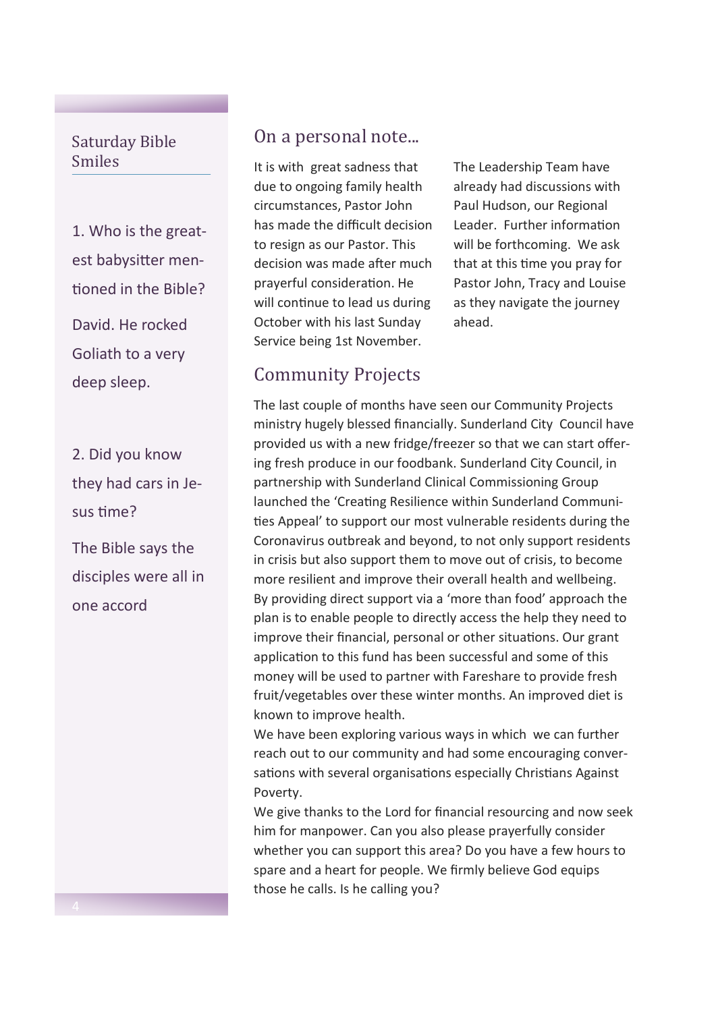### Saturday Bible Smiles

1. Who is the greatest babysitter mentioned in the Bible? David. He rocked Goliath to a very deep sleep.

2. Did you know they had cars in Jesus time?

The Bible says the disciples were all in one accord

### On a personal note...

It is with great sadness that due to ongoing family health circumstances, Pastor John has made the difficult decision to resign as our Pastor. This decision was made after much prayerful consideration. He will continue to lead us during October with his last Sunday Service being 1st November.

## Community Projects

The Leadership Team have already had discussions with Paul Hudson, our Regional Leader. Further information will be forthcoming. We ask that at this time you pray for Pastor John, Tracy and Louise as they navigate the journey ahead.

The last couple of months have seen our Community Projects ministry hugely blessed financially. Sunderland City Council have provided us with a new fridge/freezer so that we can start offering fresh produce in our foodbank. Sunderland City Council, in partnership with Sunderland Clinical Commissioning Group  launched the 'Creating Resilience within Sunderland Communities Appeal' to support our most vulnerable residents during the Coronavirus outbreak and beyond, to not only support residents in crisis but also support them to move out of crisis, to become more resilient and improve their overall health and wellbeing. By providing direct support via a 'more than food' approach the plan is to enable people to directly access the help they need to improve their financial, personal or other situations. Our grant application to this fund has been successful and some of this money will be used to partner with Fareshare to provide fresh fruit/vegetables over these winter months. An improved diet is known to improve health.

We have been exploring various ways in which we can further reach out to our community and had some encouraging conversations with several organisations especially Christians Against Poverty.

We give thanks to the Lord for financial resourcing and now seek him for manpower. Can you also please prayerfully consider whether you can support this area? Do you have a few hours to spare and a heart for people. We firmly believe God equips those he calls. Is he calling you?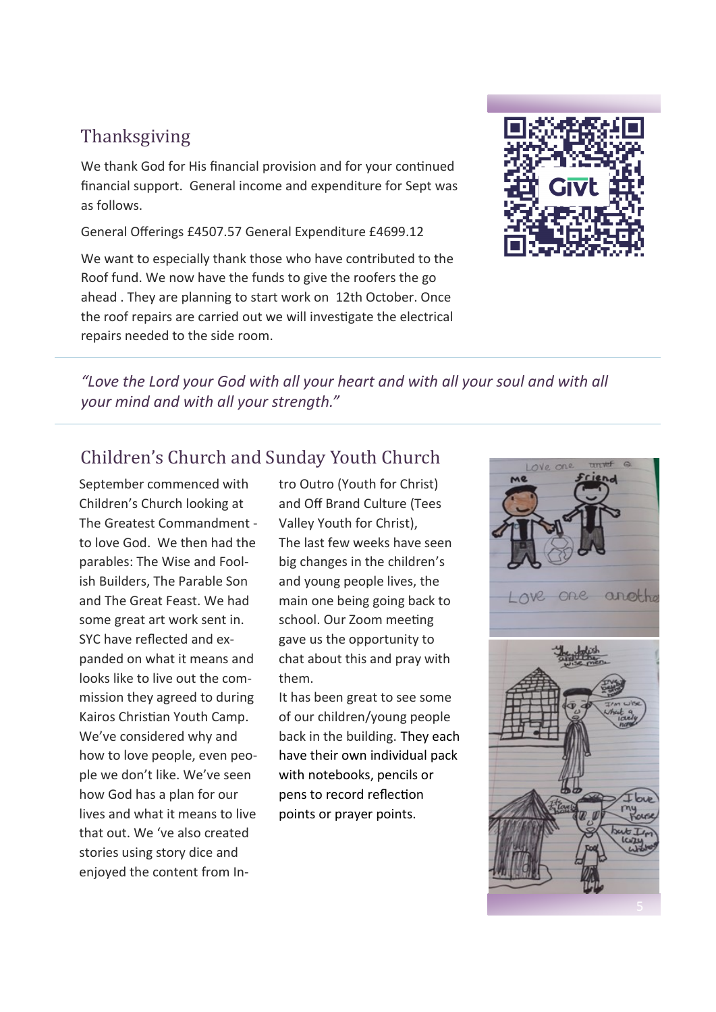# Thanksgiving

We thank God for His financial provision and for your continued financial support. General income and expenditure for Sept was as follows.

General Offerings £4507.57 General Expenditure £4699.12

We want to especially thank those who have contributed to the Roof fund. We now have the funds to give the roofers the go ahead . They are planning to start work on 12th October. Once the roof repairs are carried out we will investigate the electrical repairs needed to the side room.



*"Love the Lord your God with all your heart and with all your soul and with all your mind and with all your strength."* 

# Children's Church and Sunday Youth Church

September commenced with Children's Church looking at The Greatest Commandment to love God. We then had the parables: The Wise and Foolish Builders, The Parable Son and The Great Feast. We had some great art work sent in. SYC have reflected and expanded on what it means and looks like to live out the commission they agreed to during Kairos Christian Youth Camp. We've considered why and how to love people, even people we don't like. We've seen how God has a plan for our lives and what it means to live that out. We 've also created stories using story dice and enjoyed the content from Intro Outro (Youth for Christ) and Off Brand Culture (Tees Valley Youth for Christ), The last few weeks have seen big changes in the children's and young people lives, the main one being going back to school. Our Zoom meeting gave us the opportunity to chat about this and pray with them.

It has been great to see some of our children/young people back in the building. They each have their own individual pack with notebooks, pencils or pens to record reflection points or prayer points.